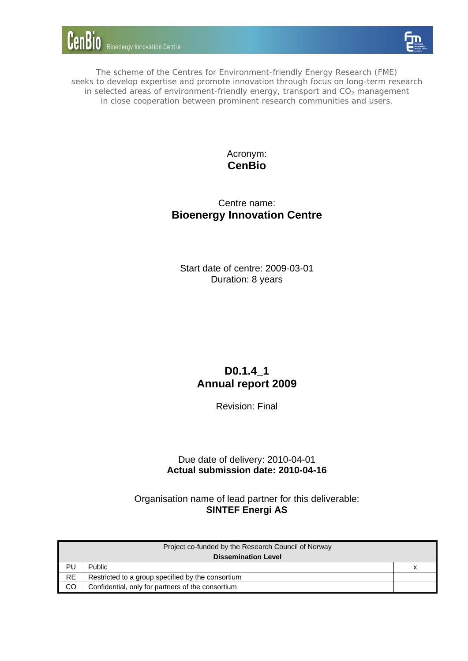



The scheme of the Centres for Environment-friendly Energy Research (FME) seeks to develop expertise and promote innovation through focus on long-term research in selected areas of environment-friendly energy, transport and  $CO<sub>2</sub>$  management in close cooperation between prominent research communities and users.

## Acronym: **CenBio**

## Centre name: **Bioenergy Innovation Centre**

Start date of centre: 2009-03-01 Duration: 8 years

# **D0.1.4\_1 Annual report 2009**

Revision: Final

### Due date of delivery: 2010-04-01 **Actual submission date: 2010-04-16**

Organisation name of lead partner for this deliverable: **SINTEF Energi AS**

|                            | Project co-funded by the Research Council of Norway |  |  |  |
|----------------------------|-----------------------------------------------------|--|--|--|
| <b>Dissemination Level</b> |                                                     |  |  |  |
| PU                         | <b>Public</b>                                       |  |  |  |
| <b>RE</b>                  | Restricted to a group specified by the consortium   |  |  |  |
| <b>CO</b>                  | Confidential, only for partners of the consortium   |  |  |  |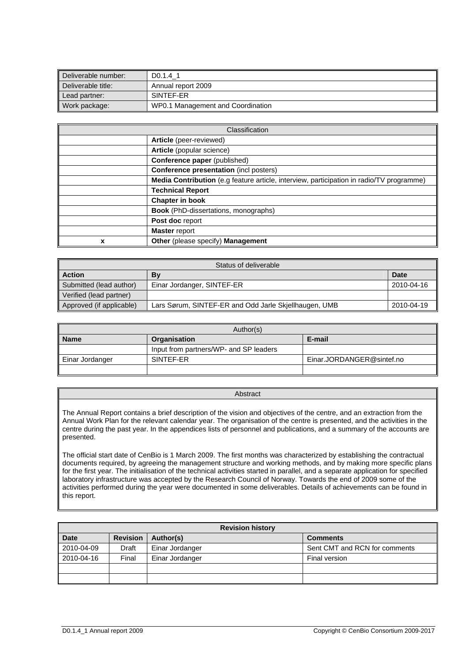| Deliverable number: | D0.1.4 1                          |
|---------------------|-----------------------------------|
| Deliverable title:  | Annual report 2009                |
| Lead partner:       | SINTEF-ER                         |
| Work package:       | WP0.1 Management and Coordination |

|   | Classification                                                                           |
|---|------------------------------------------------------------------------------------------|
|   | Article (peer-reviewed)                                                                  |
|   | Article (popular science)                                                                |
|   | <b>Conference paper</b> (published)                                                      |
|   | <b>Conference presentation (incl posters)</b>                                            |
|   | Media Contribution (e.g feature article, interview, participation in radio/TV programme) |
|   | <b>Technical Report</b>                                                                  |
|   | <b>Chapter in book</b>                                                                   |
|   | <b>Book</b> (PhD-dissertations, monographs)                                              |
|   | Post doc report                                                                          |
|   | <b>Master report</b>                                                                     |
| x | Other (please specify) Management                                                        |

| Status of deliverable                                                             |                            |             |
|-----------------------------------------------------------------------------------|----------------------------|-------------|
| <b>Action</b><br>Bv                                                               |                            | <b>Date</b> |
| Submitted (lead author)                                                           | Einar Jordanger, SINTEF-ER | 2010-04-16  |
| Verified (lead partner)                                                           |                            |             |
| Approved (if applicable)<br>Lars Sørum, SINTEF-ER and Odd Jarle Skjellhaugen, UMB |                            | 2010-04-19  |

| Author(s)                             |                                        |                           |
|---------------------------------------|----------------------------------------|---------------------------|
| E-mail<br>Organisation<br><b>Name</b> |                                        |                           |
|                                       | Input from partners/WP- and SP leaders |                           |
| Einar Jordanger                       | SINTEF-ER                              | Einar.JORDANGER@sintef.no |
|                                       |                                        |                           |

Abstract

The Annual Report contains a brief description of the vision and objectives of the centre, and an extraction from the Annual Work Plan for the relevant calendar year. The organisation of the centre is presented, and the activities in the centre during the past year. In the appendices lists of personnel and publications, and a summary of the accounts are presented.

The official start date of CenBio is 1 March 2009. The first months was characterized by establishing the contractual documents required, by agreeing the management structure and working methods, and by making more specific plans for the first year. The initialisation of the technical activities started in parallel, and a separate application for specified laboratory infrastructure was accepted by the Research Council of Norway. Towards the end of 2009 some of the activities performed during the year were documented in some deliverables. Details of achievements can be found in this report.

| <b>Revision history</b>                                        |       |                 |                               |
|----------------------------------------------------------------|-------|-----------------|-------------------------------|
| <b>Revision</b><br><b>Date</b><br>Author(s)<br><b>Comments</b> |       |                 |                               |
| 2010-04-09                                                     | Draft | Einar Jordanger | Sent CMT and RCN for comments |
| 2010-04-16                                                     | Final | Einar Jordanger | Final version                 |
|                                                                |       |                 |                               |
|                                                                |       |                 |                               |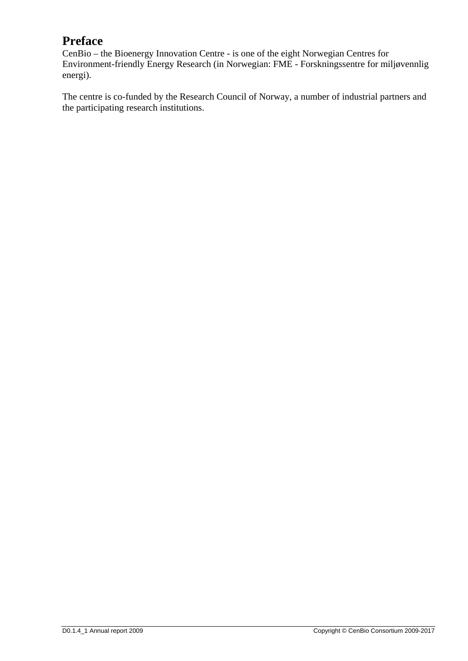# **Preface**

CenBio – the Bioenergy Innovation Centre - is one of the eight Norwegian Centres for Environment-friendly Energy Research (in Norwegian: FME - Forskningssentre for miljøvennlig energi).

The centre is co-funded by the Research Council of Norway, a number of industrial partners and the participating research institutions.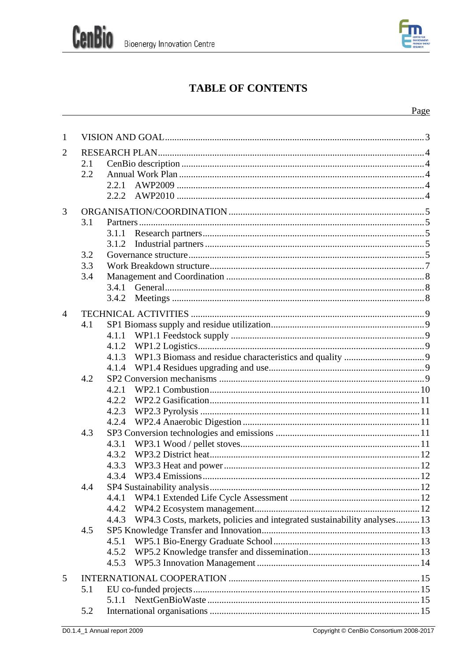

# **TABLE OF CONTENTS**

| 2<br>2.1<br>2.2<br>2.2.1<br>2.2.2                                                 |  |
|-----------------------------------------------------------------------------------|--|
|                                                                                   |  |
|                                                                                   |  |
|                                                                                   |  |
|                                                                                   |  |
|                                                                                   |  |
|                                                                                   |  |
| 3                                                                                 |  |
| 3.1                                                                               |  |
| 3.1.1                                                                             |  |
| 3.1.2                                                                             |  |
| 3.2                                                                               |  |
| 3.3                                                                               |  |
| 3.4                                                                               |  |
|                                                                                   |  |
| 3.4.2                                                                             |  |
| $\overline{4}$                                                                    |  |
| 4.1                                                                               |  |
| 4.1.1                                                                             |  |
| 4.1.2                                                                             |  |
| 4.1.3                                                                             |  |
| 4.1.4                                                                             |  |
| 4.2                                                                               |  |
| 4.2.1                                                                             |  |
| 4.2.2                                                                             |  |
| 4.2.3                                                                             |  |
| 4.2.4                                                                             |  |
| 4.3                                                                               |  |
| 4.3.1                                                                             |  |
| 4.3.2                                                                             |  |
| 4.3.3                                                                             |  |
| 4.3.4                                                                             |  |
| 4.4                                                                               |  |
| 4.4.1                                                                             |  |
| 4.4.2                                                                             |  |
| WP4.3 Costs, markets, policies and integrated sustainability analyses 13<br>4.4.3 |  |
| 4.5                                                                               |  |
| 4.5.1                                                                             |  |
| 4.5.2                                                                             |  |
| 4.5.3                                                                             |  |
| 5                                                                                 |  |
| 5.1                                                                               |  |
| 5.1.1                                                                             |  |
| 5.2                                                                               |  |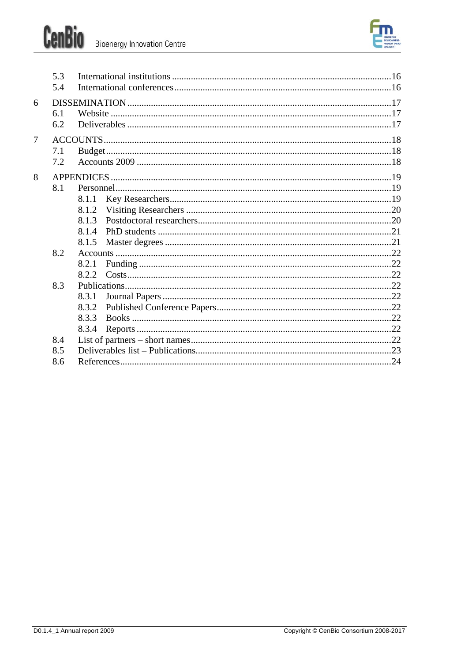



|                | 5.3<br>5.4 |                                           |  |
|----------------|------------|-------------------------------------------|--|
| 6              | 6.1<br>6.2 |                                           |  |
| $\overline{7}$ | 7.1<br>7.2 |                                           |  |
| 8              | 8.1        | 8.1.1<br>8.1.2<br>8.1.3<br>8.1.4<br>8.1.5 |  |
|                | 8.2        | 8.2.1<br>8.2.2                            |  |
|                | 8.3        | 8.3.1<br>8.3.2<br>8.3.3<br>8.3.4          |  |
|                | 8.4        |                                           |  |
|                | 8.5        |                                           |  |
|                | 8.6        |                                           |  |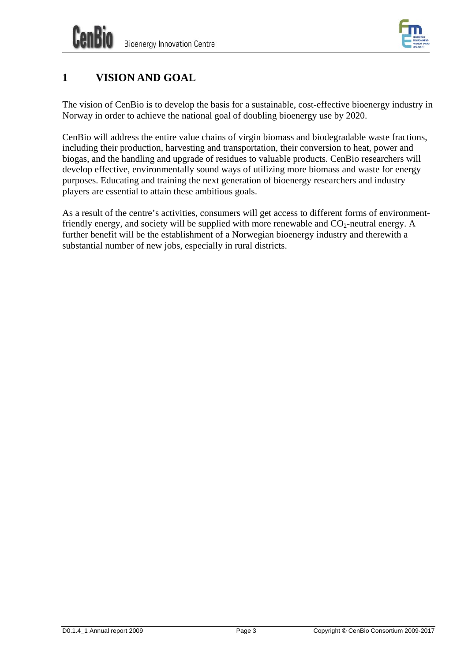

# <span id="page-8-0"></span>**1 VISION AND GOAL**

The vision of CenBio is to develop the basis for a sustainable, cost-effective bioenergy industry in Norway in order to achieve the national goal of doubling bioenergy use by 2020.

CenBio will address the entire value chains of virgin biomass and biodegradable waste fractions, including their production, harvesting and transportation, their conversion to heat, power and biogas, and the handling and upgrade of residues to valuable products. CenBio researchers will develop effective, environmentally sound ways of utilizing more biomass and waste for energy purposes. Educating and training the next generation of bioenergy researchers and industry players are essential to attain these ambitious goals.

As a result of the centre's activities, consumers will get access to different forms of environmentfriendly energy, and society will be supplied with more renewable and  $CO_2$ -neutral energy. A further benefit will be the establishment of a Norwegian bioenergy industry and therewith a substantial number of new jobs, especially in rural districts.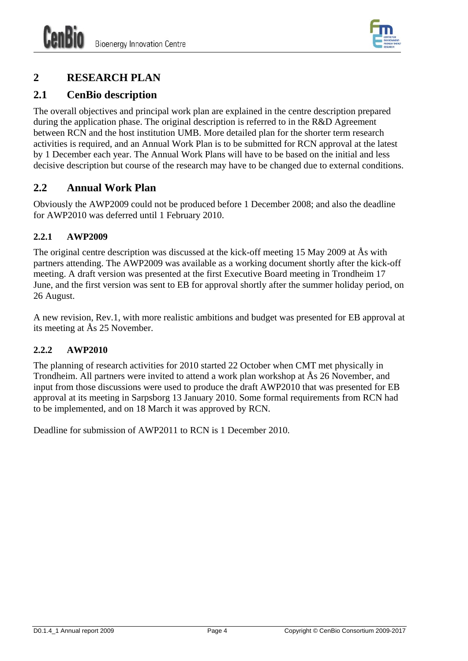

# <span id="page-9-0"></span>**2 RESEARCH PLAN**

## <span id="page-9-1"></span>**2.1 CenBio description**

The overall objectives and principal work plan are explained in the centre description prepared during the application phase. The original description is referred to in the R&D Agreement between RCN and the host institution UMB. More detailed plan for the shorter term research activities is required, and an Annual Work Plan is to be submitted for RCN approval at the latest by 1 December each year. The Annual Work Plans will have to be based on the initial and less decisive description but course of the research may have to be changed due to external conditions.

## <span id="page-9-2"></span>**2.2 Annual Work Plan**

Obviously the AWP2009 could not be produced before 1 December 2008; and also the deadline for AWP2010 was deferred until 1 February 2010.

## <span id="page-9-3"></span>**2.2.1 AWP2009**

The original centre description was discussed at the kick-off meeting 15 May 2009 at Ås with partners attending. The AWP2009 was available as a working document shortly after the kick-off meeting. A draft version was presented at the first Executive Board meeting in Trondheim 17 June, and the first version was sent to EB for approval shortly after the summer holiday period, on 26 August.

A new revision, Rev.1, with more realistic ambitions and budget was presented for EB approval at its meeting at Ås 25 November.

### <span id="page-9-4"></span>**2.2.2 AWP2010**

The planning of research activities for 2010 started 22 October when CMT met physically in Trondheim. All partners were invited to attend a work plan workshop at Ås 26 November, and input from those discussions were used to produce the draft AWP2010 that was presented for EB approval at its meeting in Sarpsborg 13 January 2010. Some formal requirements from RCN had to be implemented, and on 18 March it was approved by RCN.

Deadline for submission of AWP2011 to RCN is 1 December 2010.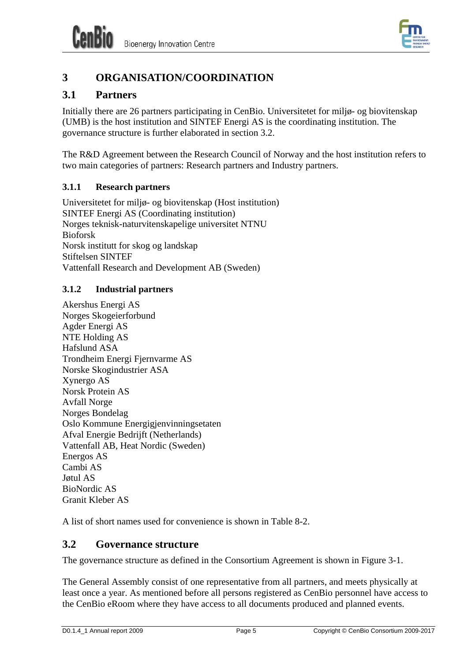

# <span id="page-10-0"></span>**3 ORGANISATION/COORDINATION**

## <span id="page-10-1"></span>**3.1 Partners**

Initially there are 26 partners participating in CenBio. Universitetet for miljø- og biovitenskap (UMB) is the host institution and SINTEF Energi AS is the coordinating institution. The governance structure is further elaborated in section [3.2.](#page-10-4)

The R&D Agreement between the Research Council of Norway and the host institution refers to two main categories of partners: Research partners and Industry partners.

## <span id="page-10-2"></span>**3.1.1 Research partners**

Universitetet for miljø- og biovitenskap (Host institution) SINTEF Energi AS (Coordinating institution) Norges teknisk-naturvitenskapelige universitet NTNU Bioforsk Norsk institutt for skog og landskap Stiftelsen SINTEF Vattenfall Research and Development AB (Sweden)

## <span id="page-10-3"></span>**3.1.2 Industrial partners**

Akershus Energi AS Norges Skogeierforbund Agder Energi AS NTE Holding AS Hafslund ASA Trondheim Energi Fjernvarme AS Norske Skogindustrier ASA Xynergo AS Norsk Protein AS Avfall Norge Norges Bondelag Oslo Kommune Energigjenvinningsetaten Afval Energie Bedrijft (Netherlands) Vattenfall AB, Heat Nordic (Sweden) Energos AS Cambi AS Jøtul AS BioNordic AS Granit Kleber AS

A list of short names used for convenience is shown in [Table 8-2](#page-28-1).

## <span id="page-10-4"></span>**3.2 Governance structure**

The governance structure as defined in the Consortium Agreement is shown in [Figure 3-1](#page-11-0).

The General Assembly consist of one representative from all partners, and meets physically at least once a year. As mentioned before all persons registered as CenBio personnel have access to the CenBio eRoom where they have access to all documents produced and planned events.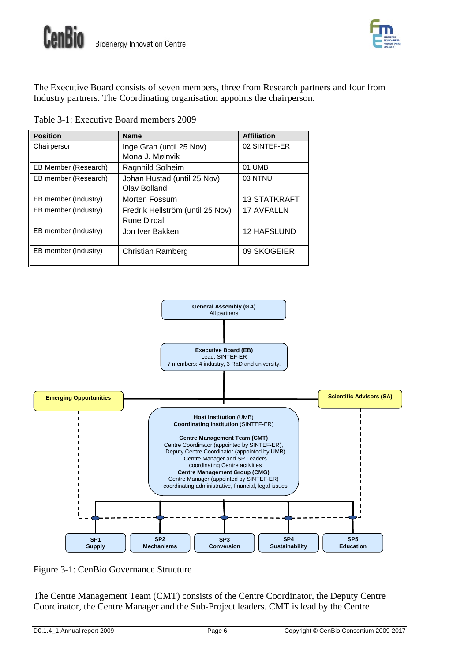

The Executive Board consists of seven members, three from Research partners and four from Industry partners. The Coordinating organisation appoints the chairperson.

| Table 3-1: Executive Board members 2009 |  |
|-----------------------------------------|--|
|-----------------------------------------|--|

| <b>Position</b>      | <b>Name</b>                      | <b>Affiliation</b>  |
|----------------------|----------------------------------|---------------------|
| Chairperson          | Inge Gran (until 25 Nov)         | 02 SINTEF-ER        |
|                      | Mona J. Mølnvik                  |                     |
| EB Member (Research) | Ragnhild Solheim                 | 01 UMB              |
| EB member (Research) | Johan Hustad (until 25 Nov)      | 03 NTNU             |
|                      | Olav Bolland                     |                     |
| EB member (Industry) | Morten Fossum                    | <b>13 STATKRAFT</b> |
| EB member (Industry) | Fredrik Hellström (until 25 Nov) | <b>17 AVFALLN</b>   |
|                      | Rune Dirdal                      |                     |
| EB member (Industry) | Jon Iver Bakken                  | <b>12 HAFSLUND</b>  |
|                      |                                  |                     |
| EB member (Industry) | Christian Ramberg                | 09 SKOGEIER         |
|                      |                                  |                     |



<span id="page-11-0"></span>Figure 3-1: CenBio Governance Structure

The Centre Management Team (CMT) consists of the Centre Coordinator, the Deputy Centre Coordinator, the Centre Manager and the Sub-Project leaders. CMT is lead by the Centre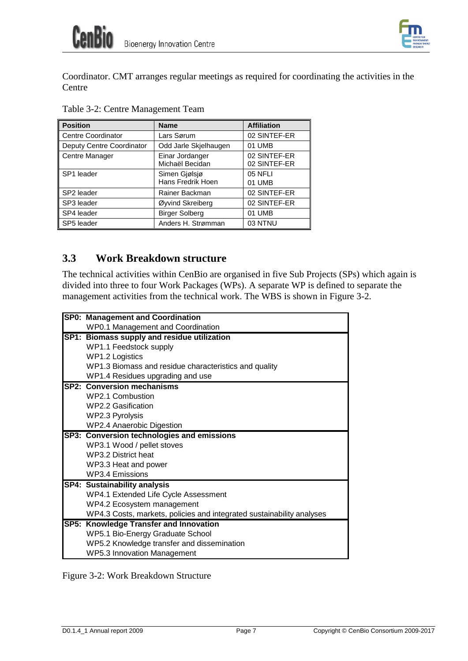

Coordinator. CMT arranges regular meetings as required for coordinating the activities in the Centre

| <b>Position</b>           | <b>Name</b>                        | <b>Affiliation</b>           |
|---------------------------|------------------------------------|------------------------------|
| <b>Centre Coordinator</b> | Lars Sørum                         | 02 SINTEF-ER                 |
| Deputy Centre Coordinator | Odd Jarle Skjelhaugen              | 01 UMB                       |
| Centre Manager            | Einar Jordanger<br>Michaël Becidan | 02 SINTEF-ER<br>02 SINTEF-ER |
| SP1 leader                | Simen Gjølsjø<br>Hans Fredrik Hoen | 05 NFLI<br>01 UMB            |
| SP2 leader                | Rainer Backman                     | 02 SINTEF-ER                 |
| SP3 leader                | Øyvind Skreiberg                   | 02 SINTEF-ER                 |
| SP4 leader                | <b>Birger Solberg</b>              | 01 UMB                       |
| SP5 leader                | Anders H. Strømman                 | 03 NTNU                      |

Table 3-2: Centre Management Team

## <span id="page-12-0"></span>**3.3 Work Breakdown structure**

The technical activities within CenBio are organised in five Sub Projects (SPs) which again is divided into three to four Work Packages (WPs). A separate WP is defined to separate the management activities from the technical work. The WBS is shown in [Figure 3-2.](#page-12-1)

| <b>SP0: Management and Coordination</b>                               |
|-----------------------------------------------------------------------|
| WP0.1 Management and Coordination                                     |
| SP1: Biomass supply and residue utilization                           |
| WP1.1 Feedstock supply                                                |
| <b>WP1.2 Logistics</b>                                                |
| WP1.3 Biomass and residue characteristics and quality                 |
| WP1.4 Residues upgrading and use                                      |
| <b>SP2: Conversion mechanisms</b>                                     |
| WP2.1 Combustion                                                      |
| WP2.2 Gasification                                                    |
| WP2.3 Pyrolysis                                                       |
| <b>WP2.4 Anaerobic Digestion</b>                                      |
| SP3: Conversion technologies and emissions                            |
| WP3.1 Wood / pellet stoves                                            |
| WP3.2 District heat                                                   |
| WP3.3 Heat and power                                                  |
| <b>WP3.4 Emissions</b>                                                |
| <b>SP4: Sustainability analysis</b>                                   |
| WP4.1 Extended Life Cycle Assessment                                  |
| WP4.2 Ecosystem management                                            |
| WP4.3 Costs, markets, policies and integrated sustainability analyses |
| SP5: Knowledge Transfer and Innovation                                |
| WP5.1 Bio-Energy Graduate School                                      |
| WP5.2 Knowledge transfer and dissemination                            |
| <b>WP5.3 Innovation Management</b>                                    |

<span id="page-12-1"></span>Figure 3-2: Work Breakdown Structure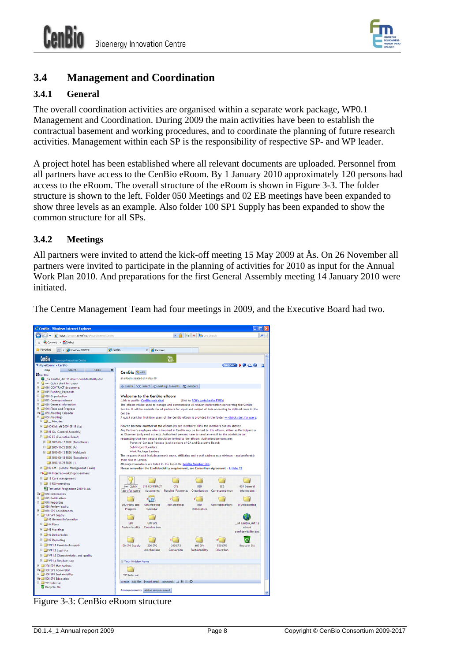

## <span id="page-13-0"></span>**3.4 Management and Coordination**

### <span id="page-13-1"></span>**3.4.1 General**

The overall coordination activities are organised within a separate work package, WP0.1 Management and Coordination. During 2009 the main activities have been to establish the contractual basement and working procedures, and to coordinate the planning of future research activities. Management within each SP is the responsibility of respective SP- and WP leader.

A project hotel has been established where all relevant documents are uploaded. Personnel from all partners have access to the CenBio eRoom. By 1 January 2010 approximately 120 persons had access to the eRoom. The overall structure of the eRoom is shown in [Figure 3-3](#page-13-3). The folder structure is shown to the left. Folder 050 Meetings and 02 EB meetings have been expanded to show three levels as an example. Also folder 100 SP1 Supply has been expanded to show the common structure for all SPs.

### <span id="page-13-2"></span>**3.4.2 Meetings**

All partners were invited to attend the kick-off meeting 15 May 2009 at Ås. On 26 November all partners were invited to participate in the planning of activities for 2010 as input for the Annual Work Plan 2010. And preparations for the first General Assembly meeting 14 January 2010 were initiated.

The Centre Management Team had four meetings in 2009, and the Executive Board had two.

<span id="page-13-3"></span>

Figure 3-3: CenBio eRoom structure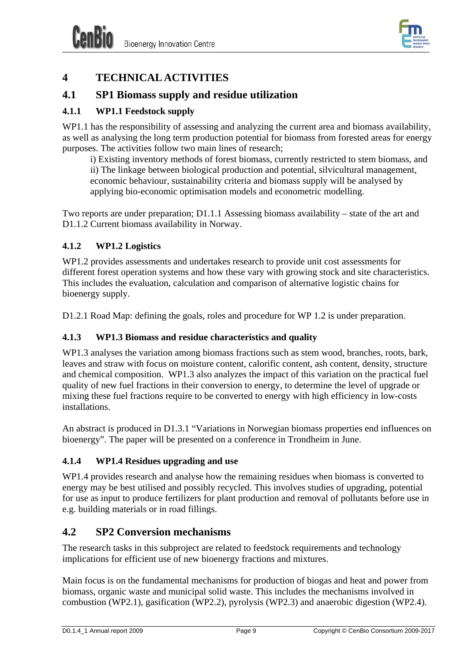

# <span id="page-14-0"></span>**4 TECHNICAL ACTIVITIES**

## <span id="page-14-1"></span>**4.1 SP1 Biomass supply and residue utilization**

### <span id="page-14-2"></span>**4.1.1 WP1.1 Feedstock supply**

WP1.1 has the responsibility of assessing and analyzing the current area and biomass availability, as well as analysing the long term production potential for biomass from forested areas for energy purposes. The activities follow two main lines of research;

i) Existing inventory methods of forest biomass, currently restricted to stem biomass, and ii) The linkage between biological production and potential, silvicultural management, economic behaviour, sustainability criteria and biomass supply will be analysed by applying bio-economic optimisation models and econometric modelling.

Two reports are under preparation; D1.1.1 Assessing biomass availability – state of the art and D1.1.2 Current biomass availability in Norway.

#### <span id="page-14-3"></span>**4.1.2 WP1.2 Logistics**

WP1.2 provides assessments and undertakes research to provide unit cost assessments for different forest operation systems and how these vary with growing stock and site characteristics. This includes the evaluation, calculation and comparison of alternative logistic chains for bioenergy supply.

D1.2.1 Road Map: defining the goals, roles and procedure for WP 1.2 is under preparation.

#### <span id="page-14-4"></span>**4.1.3 WP1.3 Biomass and residue characteristics and quality**

WP1.3 analyses the variation among biomass fractions such as stem wood, branches, roots, bark, leaves and straw with focus on moisture content, calorific content, ash content, density, structure and chemical composition. WP1.3 also analyzes the impact of this variation on the practical fuel quality of new fuel fractions in their conversion to energy, to determine the level of upgrade or mixing these fuel fractions require to be converted to energy with high efficiency in low-costs installations.

An abstract is produced in D1.3.1 "Variations in Norwegian biomass properties end influences on bioenergy". The paper will be presented on a conference in Trondheim in June.

### <span id="page-14-5"></span>**4.1.4 WP1.4 Residues upgrading and use**

WP1.4 provides research and analyse how the remaining residues when biomass is converted to energy may be best utilised and possibly recycled. This involves studies of upgrading, potential for use as input to produce fertilizers for plant production and removal of pollutants before use in e.g. building materials or in road fillings.

## <span id="page-14-6"></span>**4.2 SP2 Conversion mechanisms**

The research tasks in this subproject are related to feedstock requirements and technology implications for efficient use of new bioenergy fractions and mixtures.

Main focus is on the fundamental mechanisms for production of biogas and heat and power from biomass, organic waste and municipal solid waste. This includes the mechanisms involved in combustion (WP2.1), gasification (WP2.2), pyrolysis (WP2.3) and anaerobic digestion (WP2.4).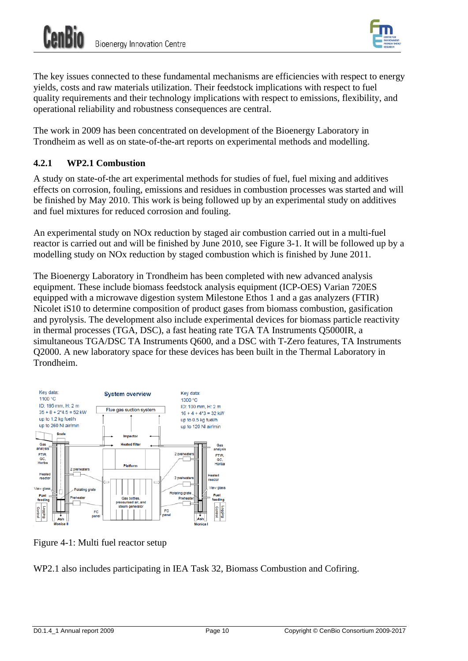

The key issues connected to these fundamental mechanisms are efficiencies with respect to energy yields, costs and raw materials utilization. Their feedstock implications with respect to fuel quality requirements and their technology implications with respect to emissions, flexibility, and operational reliability and robustness consequences are central.

The work in 2009 has been concentrated on development of the Bioenergy Laboratory in Trondheim as well as on state-of-the-art reports on experimental methods and modelling.

#### <span id="page-15-0"></span>**4.2.1 WP2.1 Combustion**

A study on state-of-the art experimental methods for studies of fuel, fuel mixing and additives effects on corrosion, fouling, emissions and residues in combustion processes was started and will be finished by May 2010. This work is being followed up by an experimental study on additives and fuel mixtures for reduced corrosion and fouling.

An experimental study on NOx reduction by staged air combustion carried out in a multi-fuel reactor is carried out and will be finished by June 2010, see [Figure 3-1](#page-11-0). It will be followed up by a modelling study on NOx reduction by staged combustion which is finished by June 2011.

The Bioenergy Laboratory in Trondheim has been completed with new advanced analysis equipment. These include biomass feedstock analysis equipment (ICP-OES) Varian 720ES equipped with a microwave digestion system Milestone Ethos 1 and a gas analyzers (FTIR) Nicolet iS10 to determine composition of product gases from biomass combustion, gasification and pyrolysis. The development also include experimental devices for biomass particle reactivity in thermal processes (TGA, DSC), a fast heating rate TGA TA Instruments Q5000IR, a simultaneous TGA/DSC TA Instruments Q600, and a DSC with T-Zero features, TA Instruments Q2000. A new laboratory space for these devices has been built in the Thermal Laboratory in Trondheim.



Figure 4-1: Multi fuel reactor setup

WP2.1 also includes participating in IEA Task 32, Biomass Combustion and Cofiring.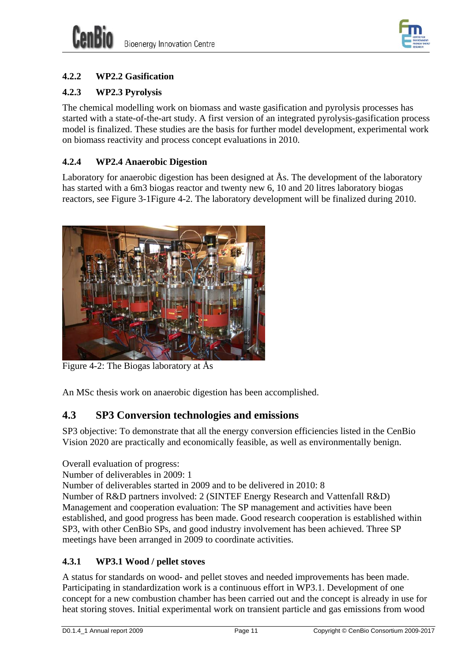



## <span id="page-16-0"></span>**4.2.2 WP2.2 Gasification**

### <span id="page-16-1"></span>**4.2.3 WP2.3 Pyrolysis**

The chemical modelling work on biomass and waste gasification and pyrolysis processes has started with a state-of-the-art study. A first version of an integrated pyrolysis-gasification process model is finalized. These studies are the basis for further model development, experimental work on biomass reactivity and process concept evaluations in 2010.

### <span id="page-16-2"></span>**4.2.4 WP2.4 Anaerobic Digestion**

Laboratory for anaerobic digestion has been designed at  $\AA$ s. The development of the laboratory has started with a 6m3 biogas reactor and twenty new 6, 10 and 20 litres laboratory biogas reactors, see [Figure 3-1](#page-11-0)[Figure 4-2](#page-16-5). The laboratory development will be finalized during 2010.



Figure 4-2: The Biogas laboratory at Ås

<span id="page-16-5"></span>An MSc thesis work on anaerobic digestion has been accomplished.

## <span id="page-16-3"></span>**4.3 SP3 Conversion technologies and emissions**

SP3 objective: To demonstrate that all the energy conversion efficiencies listed in the CenBio Vision 2020 are practically and economically feasible, as well as environmentally benign.

Overall evaluation of progress:

Number of deliverables in 2009: 1

Number of deliverables started in 2009 and to be delivered in 2010: 8

Number of R&D partners involved: 2 (SINTEF Energy Research and Vattenfall R&D) Management and cooperation evaluation: The SP management and activities have been established, and good progress has been made. Good research cooperation is established within SP3, with other CenBio SPs, and good industry involvement has been achieved. Three SP meetings have been arranged in 2009 to coordinate activities.

### <span id="page-16-4"></span>**4.3.1 WP3.1 Wood / pellet stoves**

A status for standards on wood- and pellet stoves and needed improvements has been made. Participating in standardization work is a continuous effort in WP3.1. Development of one concept for a new combustion chamber has been carried out and the concept is already in use for heat storing stoves. Initial experimental work on transient particle and gas emissions from wood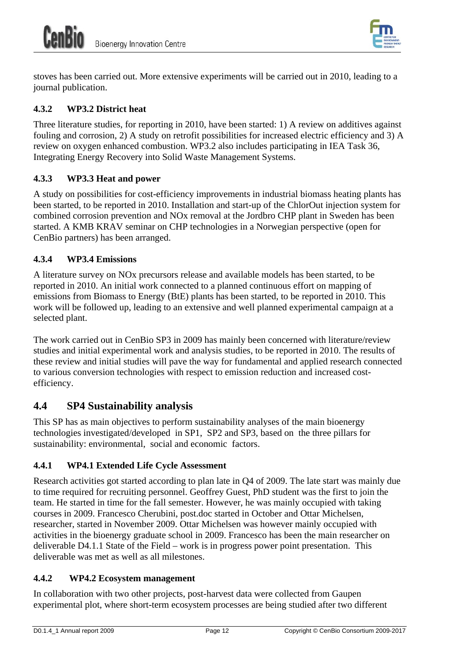

stoves has been carried out. More extensive experiments will be carried out in 2010, leading to a journal publication.

## <span id="page-17-0"></span>**4.3.2 WP3.2 District heat**

Three literature studies, for reporting in 2010, have been started: 1) A review on additives against fouling and corrosion, 2) A study on retrofit possibilities for increased electric efficiency and 3) A review on oxygen enhanced combustion. WP3.2 also includes participating in IEA Task 36, Integrating Energy Recovery into Solid Waste Management Systems.

### <span id="page-17-1"></span>**4.3.3 WP3.3 Heat and power**

A study on possibilities for cost-efficiency improvements in industrial biomass heating plants has been started, to be reported in 2010. Installation and start-up of the ChlorOut injection system for combined corrosion prevention and NOx removal at the Jordbro CHP plant in Sweden has been started. A KMB KRAV seminar on CHP technologies in a Norwegian perspective (open for CenBio partners) has been arranged.

### <span id="page-17-2"></span>**4.3.4 WP3.4 Emissions**

A literature survey on NOx precursors release and available models has been started, to be reported in 2010. An initial work connected to a planned continuous effort on mapping of emissions from Biomass to Energy (BtE) plants has been started, to be reported in 2010. This work will be followed up, leading to an extensive and well planned experimental campaign at a selected plant.

The work carried out in CenBio SP3 in 2009 has mainly been concerned with literature/review studies and initial experimental work and analysis studies, to be reported in 2010. The results of these review and initial studies will pave the way for fundamental and applied research connected to various conversion technologies with respect to emission reduction and increased costefficiency.

## <span id="page-17-3"></span>**4.4 SP4 Sustainability analysis**

This SP has as main objectives to perform sustainability analyses of the main bioenergy technologies investigated/developed in SP1, SP2 and SP3, based on the three pillars for sustainability: environmental, social and economic factors.

### <span id="page-17-4"></span>**4.4.1 WP4.1 Extended Life Cycle Assessment**

Research activities got started according to plan late in Q4 of 2009. The late start was mainly due to time required for recruiting personnel. Geoffrey Guest, PhD student was the first to join the team. He started in time for the fall semester. However, he was mainly occupied with taking courses in 2009. Francesco Cherubini, post.doc started in October and Ottar Michelsen, researcher, started in November 2009. Ottar Michelsen was however mainly occupied with activities in the bioenergy graduate school in 2009. Francesco has been the main researcher on deliverable D4.1.1 State of the Field – work is in progress power point presentation. This deliverable was met as well as all milestones.

### <span id="page-17-5"></span>**4.4.2 WP4.2 Ecosystem management**

In collaboration with two other projects, post-harvest data were collected from Gaupen experimental plot, where short-term ecosystem processes are being studied after two different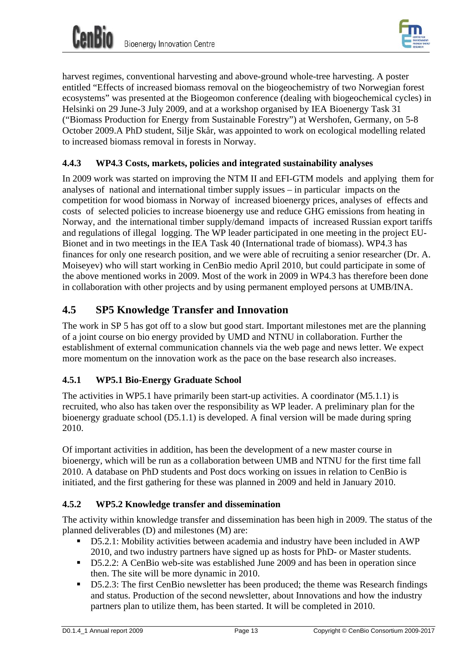

harvest regimes, conventional harvesting and above-ground whole-tree harvesting. A poster entitled "Effects of increased biomass removal on the biogeochemistry of two Norwegian forest ecosystems" was presented at the Biogeomon conference (dealing with biogeochemical cycles) in Helsinki on 29 June-3 July 2009, and at a workshop organised by IEA Bioenergy Task 31 ("Biomass Production for Energy from Sustainable Forestry") at Wershofen, Germany, on 5-8 October 2009.A PhD student, Silje Skår, was appointed to work on ecological modelling related to increased biomass removal in forests in Norway.

### <span id="page-18-0"></span>**4.4.3 WP4.3 Costs, markets, policies and integrated sustainability analyses**

In 2009 work was started on improving the NTM II and EFI-GTM models and applying them for analyses of national and international timber supply issues – in particular impacts on the competition for wood biomass in Norway of increased bioenergy prices, analyses of effects and costs of selected policies to increase bioenergy use and reduce GHG emissions from heating in Norway, and the international timber supply/demand impacts of increased Russian export tariffs and regulations of illegal logging. The WP leader participated in one meeting in the project EU-Bionet and in two meetings in the IEA Task 40 (International trade of biomass). WP4.3 has finances for only one research position, and we were able of recruiting a senior researcher (Dr. A. Moiseyev) who will start working in CenBio medio April 2010, but could participate in some of the above mentioned works in 2009. Most of the work in 2009 in WP4.3 has therefore been done in collaboration with other projects and by using permanent employed persons at UMB/INA.

## <span id="page-18-1"></span>**4.5 SP5 Knowledge Transfer and Innovation**

The work in SP 5 has got off to a slow but good start. Important milestones met are the planning of a joint course on bio energy provided by UMD and NTNU in collaboration. Further the establishment of external communication channels via the web page and news letter. We expect more momentum on the innovation work as the pace on the base research also increases.

### <span id="page-18-2"></span>**4.5.1 WP5.1 Bio-Energy Graduate School**

The activities in WP5.1 have primarily been start-up activities. A coordinator (M5.1.1) is recruited, who also has taken over the responsibility as WP leader. A preliminary plan for the bioenergy graduate school (D5.1.1) is developed. A final version will be made during spring 2010.

Of important activities in addition, has been the development of a new master course in bioenergy, which will be run as a collaboration between UMB and NTNU for the first time fall 2010. A database on PhD students and Post docs working on issues in relation to CenBio is initiated, and the first gathering for these was planned in 2009 and held in January 2010.

### <span id="page-18-3"></span>**4.5.2 WP5.2 Knowledge transfer and dissemination**

The activity within knowledge transfer and dissemination has been high in 2009. The status of the planned deliverables (D) and milestones (M) are:

- D5.2.1: Mobility activities between academia and industry have been included in AWP 2010, and two industry partners have signed up as hosts for PhD- or Master students.
- D5.2.2: A CenBio web-site was established June 2009 and has been in operation since then. The site will be more dynamic in 2010.
- D5.2.3: The first CenBio newsletter has been produced; the theme was Research findings and status. Production of the second newsletter, about Innovations and how the industry partners plan to utilize them, has been started. It will be completed in 2010.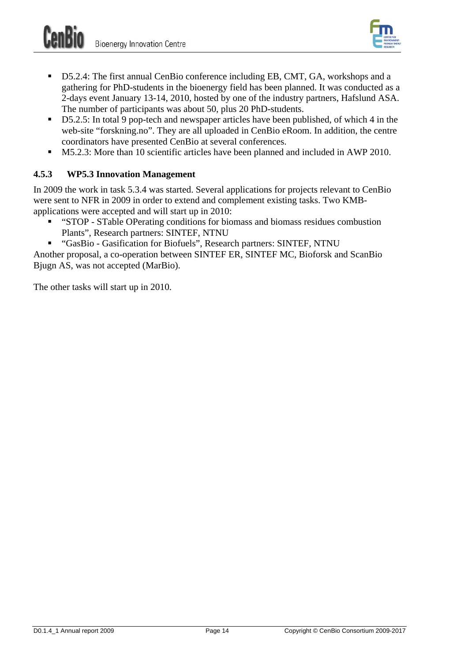

- D5.2.4: The first annual CenBio conference including EB, CMT, GA, workshops and a gathering for PhD-students in the bioenergy field has been planned. It was conducted as a 2-days event January 13-14, 2010, hosted by one of the industry partners, Hafslund ASA. The number of participants was about 50, plus 20 PhD-students.
- D5.2.5: In total 9 pop-tech and newspaper articles have been published, of which 4 in the web-site "forskning.no". They are all uploaded in CenBio eRoom. In addition, the centre coordinators have presented CenBio at several conferences.
- M5.2.3: More than 10 scientific articles have been planned and included in AWP 2010.

### <span id="page-19-0"></span>**4.5.3 WP5.3 Innovation Management**

In 2009 the work in task 5.3.4 was started. Several applications for projects relevant to CenBio were sent to NFR in 2009 in order to extend and complement existing tasks. Two KMBapplications were accepted and will start up in 2010:

- "STOP STable OPerating conditions for biomass and biomass residues combustion Plants", Research partners: SINTEF, NTNU
- "GasBio Gasification for Biofuels", Research partners: SINTEF, NTNU

Another proposal, a co-operation between SINTEF ER, SINTEF MC, Bioforsk and ScanBio Bjugn AS, was not accepted (MarBio).

The other tasks will start up in 2010.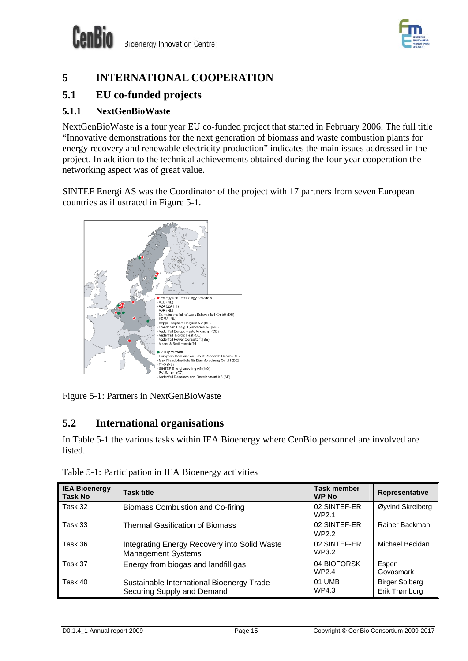

# <span id="page-20-0"></span>**5 INTERNATIONAL COOPERATION**

## <span id="page-20-1"></span>**5.1 EU co-funded projects**

### <span id="page-20-2"></span>**5.1.1 NextGenBioWaste**

NextGenBioWaste is a four year EU co-funded project that started in February 2006. The full title "Innovative demonstrations for the next generation of biomass and waste combustion plants for energy recovery and renewable electricity production" indicates the main issues addressed in the project. In addition to the technical achievements obtained during the four year cooperation the networking aspect was of great value.

SINTEF Energi AS was the Coordinator of the project with 17 partners from seven European countries as illustrated in [Figure 5-1](#page-20-4).



<span id="page-20-4"></span>Figure 5-1: Partners in NextGenBioWaste

## <span id="page-20-3"></span>**5.2 International organisations**

In [Table 5-1](#page-20-5) the various tasks within IEA Bioenergy where CenBio personnel are involved are listed.

<span id="page-20-5"></span>

| <b>IEA Bioenergy</b><br><b>Task No</b> | <b>Task title</b>                                                         | <b>Task member</b><br><b>WP No</b> | Representative                         |
|----------------------------------------|---------------------------------------------------------------------------|------------------------------------|----------------------------------------|
| Task 32                                | Biomass Combustion and Co-firing                                          | 02 SINTEF-ER<br>WP2.1              | Øyvind Skreiberg                       |
| Task 33                                | <b>Thermal Gasification of Biomass</b>                                    | 02 SINTEF-ER<br>WP2.2              | Rainer Backman                         |
| Task 36                                | Integrating Energy Recovery into Solid Waste<br><b>Management Systems</b> | 02 SINTEF-ER<br>WP3.2              | Michaël Becidan                        |
| Task 37                                | Energy from biogas and landfill gas                                       | 04 BIOFORSK<br>WP2.4               | Espen<br>Govasmark                     |
| Task 40                                | Sustainable International Bioenergy Trade -<br>Securing Supply and Demand | 01 UMB<br>WP4.3                    | <b>Birger Solberg</b><br>Erik Trømborg |

Table 5-1: Participation in IEA Bioenergy activities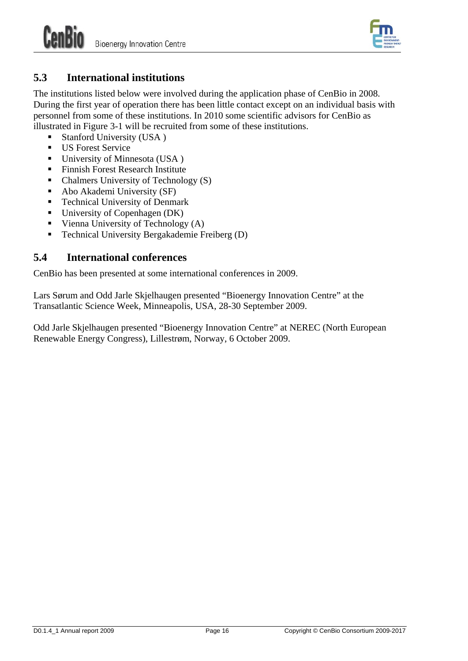

## <span id="page-21-0"></span>**5.3 International institutions**

The institutions listed below were involved during the application phase of CenBio in 2008. During the first year of operation there has been little contact except on an individual basis with personnel from some of these institutions. In 2010 some scientific advisors for CenBio as illustrated in [Figure 3-1](#page-11-0) will be recruited from some of these institutions.

- Stanford University (USA )
- **US Forest Service**
- University of Minnesota (USA)
- Finnish Forest Research Institute
- $\blacksquare$  Chalmers University of Technology (S)
- Abo Akademi University (SF)
- **Technical University of Denmark**
- $\blacksquare$  University of Copenhagen (DK)
- Vienna University of Technology  $(A)$
- Technical University Bergakademie Freiberg (D)

## <span id="page-21-1"></span>**5.4 International conferences**

CenBio has been presented at some international conferences in 2009.

Lars Sørum and Odd Jarle Skjelhaugen presented "Bioenergy Innovation Centre" at the Transatlantic Science Week, Minneapolis, USA, 28-30 September 2009.

Odd Jarle Skjelhaugen presented "Bioenergy Innovation Centre" at NEREC (North European Renewable Energy Congress), Lillestrøm, Norway, 6 October 2009.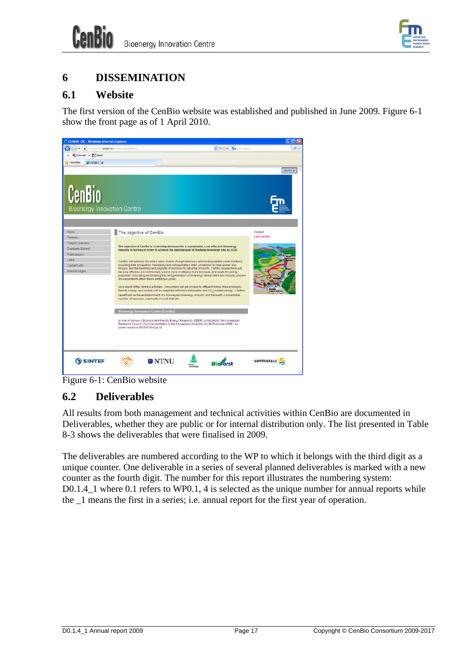

# <span id="page-22-0"></span>**6 DISSEMINATION**

## <span id="page-22-1"></span>**6.1 Website**

The first version of the CenBio website was established and published in June 2009. [Figure 6-1](#page-22-3) show the front page as of 1 April 2010.



Figure 6-1: CenBio website

## <span id="page-22-3"></span><span id="page-22-2"></span>**6.2 Deliverables**

All results from both management and technical activities within CenBio are documented in Deliverables, whether they are public or for internal distribution only. The list presented in [Table](#page-28-2)  [8-3](#page-28-2) shows the deliverables that were finalised in 2009.

The deliverables are numbered according to the WP to which it belongs with the third digit as a unique counter. One deliverable in a series of several planned deliverables is marked with a new counter as the fourth digit. The number for this report illustrates the numbering system: D0.1.4\_1 where 0.1 refers to WP0.1, 4 is selected as the unique number for annual reports while the \_1 means the first in a series; i.e. annual report for the first year of operation.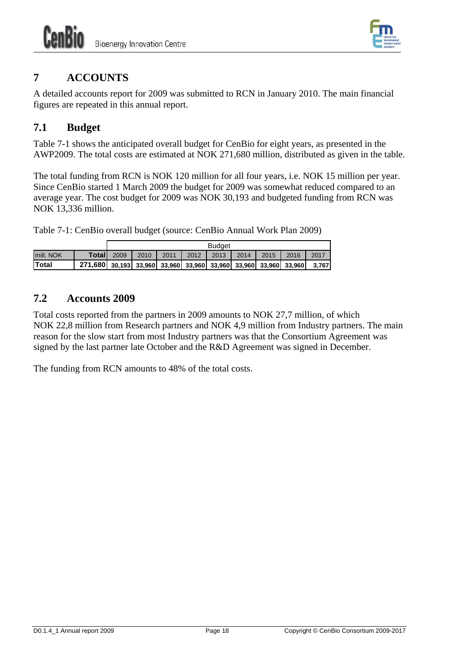

# <span id="page-23-0"></span>**7 ACCOUNTS**

A detailed accounts report for 2009 was submitted to RCN in January 2010. The main financial figures are repeated in this annual report.

## <span id="page-23-1"></span>**7.1 Budget**

[Table 7-1](#page-23-3) shows the anticipated overall budget for CenBio for eight years, as presented in the AWP2009. The total costs are estimated at NOK 271,680 million, distributed as given in the table.

The total funding from RCN is NOK 120 million for all four years, i.e. NOK 15 million per year. Since CenBio started 1 March 2009 the budget for 2009 was somewhat reduced compared to an average year. The cost budget for 2009 was NOK 30,193 and budgeted funding from RCN was NOK 13,336 million.

<span id="page-23-3"></span>Table 7-1: CenBio overall budget (source: CenBio Annual Work Plan 2009)

|           |                | <b>Budget</b> |                                                                |      |      |      |      |      |      |       |
|-----------|----------------|---------------|----------------------------------------------------------------|------|------|------|------|------|------|-------|
| mill. NOK | Totall         | 2009          | 2010                                                           | 2011 | 2012 | 2013 | 2014 | 2015 | 2016 | 2017  |
| lTotal    | <b>271.680</b> |               | 30,193 33,960 33,960 33,960 33,960 33,960 33,960 33,960 33,960 |      |      |      |      |      |      | 3.767 |

## <span id="page-23-2"></span>**7.2 Accounts 2009**

Total costs reported from the partners in 2009 amounts to NOK 27,7 million, of which NOK 22,8 million from Research partners and NOK 4,9 million from Industry partners. The main reason for the slow start from most Industry partners was that the Consortium Agreement was signed by the last partner late October and the R&D Agreement was signed in December.

The funding from RCN amounts to 48% of the total costs.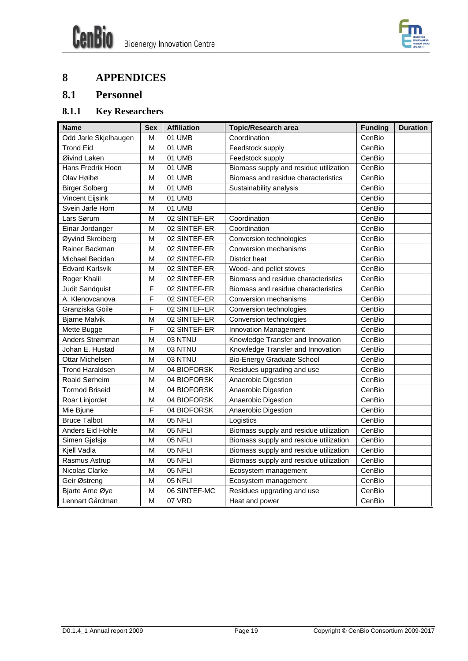

# <span id="page-24-0"></span>**8 APPENDICES**

# <span id="page-24-1"></span>**8.1 Personnel**

# **8.1.1 Key Researchers**

<span id="page-24-2"></span>

| <b>Name</b>            | <b>Sex</b> | <b>Affiliation</b> | <b>Topic/Research area</b>             | <b>Funding</b> | <b>Duration</b> |
|------------------------|------------|--------------------|----------------------------------------|----------------|-----------------|
| Odd Jarle Skjelhaugen  | M          | 01 UMB             | Coordination                           | CenBio         |                 |
| <b>Trond Eid</b>       | M          | 01 UMB             | Feedstock supply                       | CenBio         |                 |
| Øivind Løken           | M          | 01 UMB             | Feedstock supply                       | CenBio         |                 |
| Hans Fredrik Hoen      | M          | 01 UMB             | Biomass supply and residue utilization | CenBio         |                 |
| Olav Høibø             | M          | 01 UMB             | Biomass and residue characteristics    | CenBio         |                 |
| <b>Birger Solberg</b>  | M          | 01 UMB             | Sustainability analysis                | CenBio         |                 |
| <b>Vincent Eijsink</b> | M          | 01 UMB             |                                        | CenBio         |                 |
| Svein Jarle Horn       | M          | 01 UMB             |                                        | CenBio         |                 |
| Lars Sørum             | M          | 02 SINTEF-ER       | Coordination                           | CenBio         |                 |
| Einar Jordanger        | M          | 02 SINTEF-ER       | Coordination                           | CenBio         |                 |
| Øyvind Skreiberg       | M          | 02 SINTEF-ER       | Conversion technologies                | CenBio         |                 |
| Rainer Backman         | M          | 02 SINTEF-ER       | Conversion mechanisms                  | CenBio         |                 |
| Michael Becidan        | M          | 02 SINTEF-ER       | <b>District heat</b>                   | CenBio         |                 |
| <b>Edvard Karlsvik</b> | M          | 02 SINTEF-ER       | Wood- and pellet stoves                | CenBio         |                 |
| Roger Khalil           | M          | 02 SINTEF-ER       | Biomass and residue characteristics    | CenBio         |                 |
| Judit Sandquist        | F          | 02 SINTEF-ER       | Biomass and residue characteristics    | CenBio         |                 |
| A. Klenovcanova        | F          | 02 SINTEF-ER       | Conversion mechanisms                  | CenBio         |                 |
| Granziska Goile        | F          | 02 SINTEF-ER       | Conversion technologies                | CenBio         |                 |
| <b>Bjarne Malvik</b>   | M          | 02 SINTEF-ER       | Conversion technologies                | CenBio         |                 |
| Mette Bugge            | F          | 02 SINTEF-ER       | Innovation Management                  | CenBio         |                 |
| Anders Strømman        | M          | 03 NTNU            | Knowledge Transfer and Innovation      | CenBio         |                 |
| Johan E. Hustad        | M          | 03 NTNU            | Knowledge Transfer and Innovation      | CenBio         |                 |
| Ottar Michelsen        | M          | 03 NTNU            | <b>Bio-Energy Graduate School</b>      | CenBio         |                 |
| <b>Trond Haraldsen</b> | M          | 04 BIOFORSK        | Residues upgrading and use             | CenBio         |                 |
| Roald Sørheim          | M          | 04 BIOFORSK        | Anaerobic Digestion                    | CenBio         |                 |
| <b>Tormod Briseid</b>  | M          | 04 BIOFORSK        | Anaerobic Digestion                    | CenBio         |                 |
| Roar Linjordet         | M          | 04 BIOFORSK        | Anaerobic Digestion                    | CenBio         |                 |
| Mie Bjune              | F          | 04 BIOFORSK        | Anaerobic Digestion                    | CenBio         |                 |
| <b>Bruce Talbot</b>    | M          | 05 NFLI            | Logistics                              | CenBio         |                 |
| Anders Eid Hohle       | M          | 05 NFLI            | Biomass supply and residue utilization | CenBio         |                 |
| Simen Gjølsjø          | M          | 05 NFLI            | Biomass supply and residue utilization | CenBio         |                 |
| Kjell Vadla            | M          | 05 NFLI            | Biomass supply and residue utilization | CenBio         |                 |
| Rasmus Astrup          | М          | 05 NFLI            | Biomass supply and residue utilization | CenBio         |                 |
| Nicolas Clarke         | M          | 05 NFLI            | Ecosystem management                   | CenBio         |                 |
| Geir Østreng           | M          | 05 NFLI            | Ecosystem management                   | CenBio         |                 |
| Bjarte Arne Øye        | M          | 06 SINTEF-MC       | Residues upgrading and use             | CenBio         |                 |
| Lennart Gårdman        | M          | 07 VRD             | Heat and power                         | CenBio         |                 |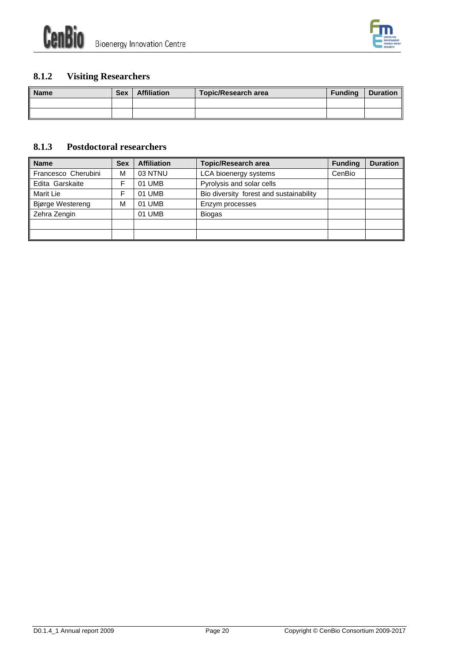

## **8.1.2 Visiting Researchers**

<span id="page-25-0"></span>

| <b>Name</b> | <b>Sex</b> | <b>Affiliation</b> | <b>Topic/Research area</b> | <b>Funding</b> | <b>Duration</b> |
|-------------|------------|--------------------|----------------------------|----------------|-----------------|
|             |            |                    |                            |                |                 |
|             |            |                    |                            |                |                 |

#### **8.1.3 Postdoctoral researchers**

<span id="page-25-1"></span>

| <b>Name</b>             | Sex | <b>Affiliation</b> | <b>Topic/Research area</b>              | <b>Funding</b> | <b>Duration</b> |
|-------------------------|-----|--------------------|-----------------------------------------|----------------|-----------------|
| Francesco Cherubini     | M   | 03 NTNU            | LCA bioenergy systems                   | CenBio         |                 |
| Edita Garskaite         | F   | 01 UMB             | Pyrolysis and solar cells               |                |                 |
| <b>Marit Lie</b>        | F   | 01 UMB             | Bio diversity forest and sustainability |                |                 |
| <b>Bjørge Westereng</b> | M   | 01 UMB             | Enzym processes                         |                |                 |
| Zehra Zengin            |     | 01 UMB             | <b>Biogas</b>                           |                |                 |
|                         |     |                    |                                         |                |                 |
|                         |     |                    |                                         |                |                 |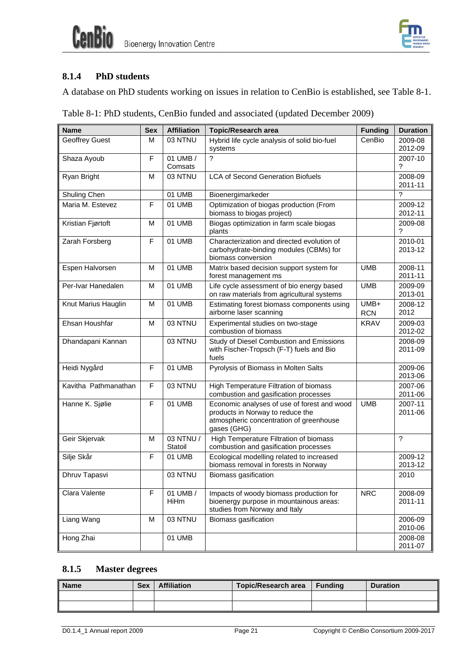



#### <span id="page-26-0"></span>**8.1.4 PhD students**

A database on PhD students working on issues in relation to CenBio is established, see [Table 8-1.](#page-26-2)

|  |  | Table 8-1: PhD students, CenBio funded and associated (updated December 2009) |  |
|--|--|-------------------------------------------------------------------------------|--|
|  |  |                                                                               |  |

<span id="page-26-2"></span>

| <b>Name</b>           | Sex | <b>Affiliation</b>   | <b>Topic/Research area</b>                                                                                                                | <b>Funding</b>     | <b>Duration</b>    |
|-----------------------|-----|----------------------|-------------------------------------------------------------------------------------------------------------------------------------------|--------------------|--------------------|
| <b>Geoffrey Guest</b> | м   | 03 NTNU              | Hybrid life cycle analysis of solid bio-fuel<br>systems                                                                                   | CenBio             | 2009-08<br>2012-09 |
| Shaza Ayoub           | F   | 01 UMB /<br>Comsats  | ?                                                                                                                                         |                    | 2007-10<br>?       |
| Ryan Bright           | M   | 03 NTNU              | <b>LCA of Second Generation Biofuels</b>                                                                                                  |                    | 2008-09<br>2011-11 |
| Shuling Chen          |     | 01 UMB               | Bioenergimarkeder                                                                                                                         |                    | ?                  |
| Maria M. Estevez      | F   | 01 UMB               | Optimization of biogas production (From<br>biomass to biogas project)                                                                     |                    | 2009-12<br>2012-11 |
| Kristian Fjørtoft     | M   | 01 UMB               | Biogas optimization in farm scale biogas<br>plants                                                                                        |                    | 2009-08<br>?       |
| Zarah Forsberg        | F   | 01 UMB               | Characterization and directed evolution of<br>carbohydrate-binding modules (CBMs) for<br>biomass conversion                               |                    | 2010-01<br>2013-12 |
| Espen Halvorsen       | M   | 01 UMB               | Matrix based decision support system for<br>forest management ms                                                                          | <b>UMB</b>         | 2008-11<br>2011-11 |
| Per-Ivar Hanedalen    | M   | 01 UMB               | Life cycle assessment of bio energy based<br>on raw materials from agricultural systems                                                   | <b>UMB</b>         | 2009-09<br>2013-01 |
| Knut Marius Hauglin   | M   | 01 UMB               | Estimating forest biomass components using<br>airborne laser scanning                                                                     | UMB+<br><b>RCN</b> | 2008-12<br>2012    |
| Ehsan Houshfar        | M   | 03 NTNU              | Experimental studies on two-stage<br>combustion of biomass                                                                                | <b>KRAV</b>        | 2009-03<br>2012-02 |
| Dhandapani Kannan     |     | 03 NTNU              | Study of Diesel Combustion and Emissions<br>with Fischer-Tropsch (F-T) fuels and Bio<br>fuels                                             |                    | 2008-09<br>2011-09 |
| Heidi Nygård          | F   | 01 UMB               | Pyrolysis of Biomass in Molten Salts                                                                                                      |                    | 2009-06<br>2013-06 |
| Kavitha Pathmanathan  | F   | 03 NTNU              | <b>High Temperature Filtration of biomass</b><br>combustion and gasification processes                                                    |                    | 2007-06<br>2011-06 |
| Hanne K. Sjølie       | F   | 01 UMB               | Economic analyses of use of forest and wood<br>products in Norway to reduce the<br>atmospheric concentration of greenhouse<br>gases (GHG) | <b>UMB</b>         | 2007-11<br>2011-06 |
| Geir Skjervak         | M   | 03 NTNU /<br>Statoil | High Temperature Filtration of biomass<br>combustion and gasification processes                                                           |                    | $\overline{?}$     |
| Silje Skår            | F   | 01 UMB               | Ecological modelling related to increased<br>biomass removal in forests in Norway                                                         |                    | 2009-12<br>2013-12 |
| Dhruv Tapasvi         |     | 03 NTNU              | Biomass gasification                                                                                                                      |                    | 2010               |
| Clara Valente         | F   | 01 UMB /<br>HiHm     | Impacts of woody biomass production for<br>bioenergy purpose in mountainous areas:<br>studies from Norway and Italy                       | <b>NRC</b>         | 2008-09<br>2011-11 |
| Liang Wang            | M   | 03 NTNU              | Biomass gasification                                                                                                                      |                    | 2006-09<br>2010-06 |
| Hong Zhai             |     | 01 UMB               |                                                                                                                                           |                    | 2008-08<br>2011-07 |

### **8.1.5 Master degrees**

<span id="page-26-1"></span>

| <b>Name</b> | <b>Sex</b> | <b>Affiliation</b> | Topic/Research area | <b>Funding</b> | <b>Duration</b> |
|-------------|------------|--------------------|---------------------|----------------|-----------------|
|             |            |                    |                     |                |                 |
|             |            |                    |                     |                |                 |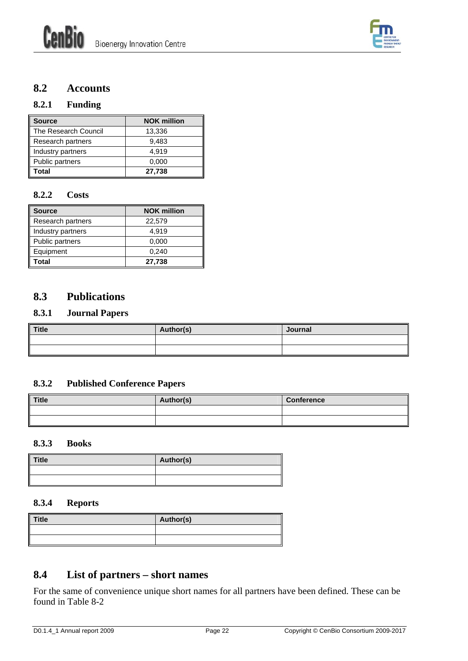

## <span id="page-27-0"></span>**8.2 Accounts**

#### <span id="page-27-1"></span>**8.2.1 Funding**

| <b>Source</b>        | <b>NOK million</b> |
|----------------------|--------------------|
| The Research Council | 13,336             |
| Research partners    | 9,483              |
| Industry partners    | 4.919              |
| Public partners      | 0,000              |
| Total                | 27,738             |

#### <span id="page-27-2"></span>**8.2.2 Costs**

| <b>Source</b>     | <b>NOK million</b> |
|-------------------|--------------------|
| Research partners | 22,579             |
| Industry partners | 4,919              |
| Public partners   | 0,000              |
| Equipment         | 0,240              |
| Total             | 27,738             |

#### <span id="page-27-3"></span>**8.3 Publications**

#### <span id="page-27-4"></span>**8.3.1 Journal Papers**

| Title | Author(s) | Journal |
|-------|-----------|---------|
|       |           |         |
|       |           |         |

#### <span id="page-27-5"></span>**8.3.2 Published Conference Papers**

| <b>Title</b> | Author(s) | <b>Conference</b> |
|--------------|-----------|-------------------|
|              |           |                   |
|              |           |                   |

#### <span id="page-27-6"></span>**8.3.3 Books**

| <b>Title</b> | Author(s) |
|--------------|-----------|
|              |           |
|              |           |

#### **8.3.4 Reports**

<span id="page-27-7"></span>

| <b>Title</b> | Author(s) |
|--------------|-----------|
|              |           |
|              |           |

## <span id="page-27-8"></span>**8.4 List of partners – short names**

For the same of convenience unique short names for all partners have been defined. These can be found in [Table 8-2](#page-28-1)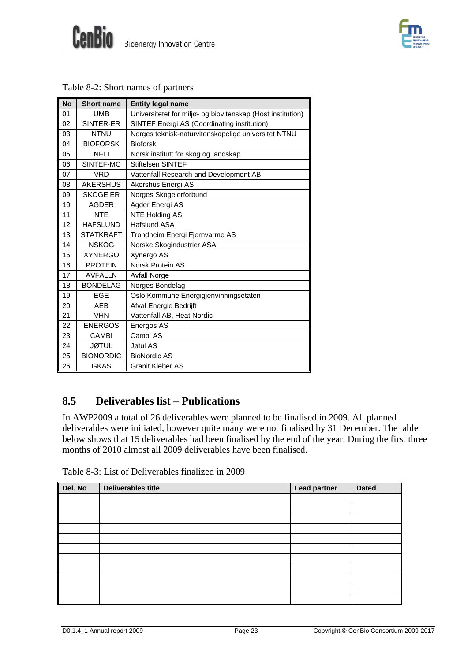| <b>CENTRE FOR</b>     |
|-----------------------|
| ENVIRONMENT-          |
| <b>FRIENDLY ENERO</b> |
| <b>SEARCH</b>         |

<span id="page-28-1"></span>

| <b>No</b> | <b>Short name</b> | <b>Entity legal name</b>                                    |
|-----------|-------------------|-------------------------------------------------------------|
| 01        | <b>UMB</b>        | Universitetet for miljø- og biovitenskap (Host institution) |
| 02        | SINTER-ER         | SINTEF Energi AS (Coordinating institution)                 |
| 03        | <b>NTNU</b>       | Norges teknisk-naturvitenskapelige universitet NTNU         |
| 04        | <b>BIOFORSK</b>   | <b>Bioforsk</b>                                             |
| 05        | <b>NFLI</b>       | Norsk institutt for skog og landskap                        |
| 06        | SINTEF-MC         | <b>Stiftelsen SINTEF</b>                                    |
| 07        | <b>VRD</b>        | Vattenfall Research and Development AB                      |
| 08        | <b>AKERSHUS</b>   | Akershus Energi AS                                          |
| 09        | <b>SKOGEIER</b>   | Norges Skogeierforbund                                      |
| 10        | <b>AGDER</b>      | Agder Energi AS                                             |
| 11        | <b>NTE</b>        | <b>NTE Holding AS</b>                                       |
| 12        | <b>HAFSLUND</b>   | Hafslund ASA                                                |
| 13        | <b>STATKRAFT</b>  | Trondheim Energi Fjernvarme AS                              |
| 14        | <b>NSKOG</b>      | Norske Skogindustrier ASA                                   |
| 15        | <b>XYNERGO</b>    | Xynergo AS                                                  |
| 16        | <b>PROTEIN</b>    | Norsk Protein AS                                            |
| 17        | <b>AVFALLN</b>    | <b>Avfall Norge</b>                                         |
| 18        | <b>BONDELAG</b>   | Norges Bondelag                                             |
| 19        | EGE               | Oslo Kommune Energigjenvinningsetaten                       |
| 20        | AEB               | Afval Energie Bedrijft                                      |
| 21        | <b>VHN</b>        | Vattenfall AB, Heat Nordic                                  |
| 22        | <b>ENERGOS</b>    | Energos AS                                                  |
| 23        | <b>CAMBI</b>      | Cambi AS                                                    |
| 24        | <b>JØTUL</b>      | Jøtul AS                                                    |
| 25        | <b>BIONORDIC</b>  | <b>BioNordic AS</b>                                         |
| 26        | <b>GKAS</b>       | Granit Kleber AS                                            |

| Table 8-2: Short names of partners |
|------------------------------------|
|------------------------------------|

# <span id="page-28-0"></span>**8.5 Deliverables list – Publications**

In AWP2009 a total of 26 deliverables were planned to be finalised in 2009. All planned deliverables were initiated, however quite many were not finalised by 31 December. The table below shows that 15 deliverables had been finalised by the end of the year. During the first three months of 2010 almost all 2009 deliverables have been finalised.

<span id="page-28-2"></span>

| Del. No | <b>Deliverables title</b> | <b>Lead partner</b> | <b>Dated</b> |
|---------|---------------------------|---------------------|--------------|
|         |                           |                     |              |
|         |                           |                     |              |
|         |                           |                     |              |
|         |                           |                     |              |
|         |                           |                     |              |
|         |                           |                     |              |
|         |                           |                     |              |
|         |                           |                     |              |
|         |                           |                     |              |
|         |                           |                     |              |
|         |                           |                     |              |